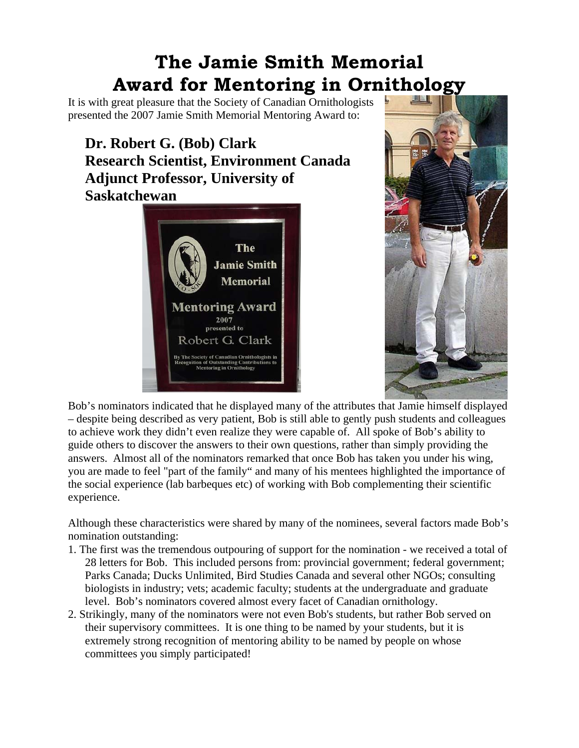## **The Jamie Smith Memorial Award for Mentoring in Ornithology**

It is with great pleasure that the Society of Canadian Ornithologists presented the 2007 Jamie Smith Memorial Mentoring Award to:

**Dr. Robert G. (Bob) Clark Research Scientist, Environment Canada Adjunct Professor, University of Saskatchewan**





Bob's nominators indicated that he displayed many of the attributes that Jamie himself displayed – despite being described as very patient, Bob is still able to gently push students and colleagues to achieve work they didn't even realize they were capable of. All spoke of Bob's ability to guide others to discover the answers to their own questions, rather than simply providing the answers. Almost all of the nominators remarked that once Bob has taken you under his wing, you are made to feel "part of the family" and many of his mentees highlighted the importance of the social experience (lab barbeques etc) of working with Bob complementing their scientific experience.

Although these characteristics were shared by many of the nominees, several factors made Bob's nomination outstanding:

- 1. The first was the tremendous outpouring of support for the nomination we received a total of 28 letters for Bob. This included persons from: provincial government; federal government; Parks Canada; Ducks Unlimited, Bird Studies Canada and several other NGOs; consulting biologists in industry; vets; academic faculty; students at the undergraduate and graduate level. Bob's nominators covered almost every facet of Canadian ornithology.
- 2. Strikingly, many of the nominators were not even Bob's students, but rather Bob served on their supervisory committees. It is one thing to be named by your students, but it is extremely strong recognition of mentoring ability to be named by people on whose committees you simply participated!